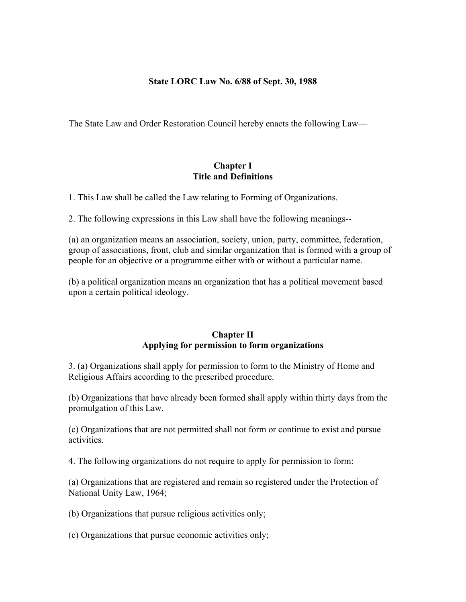### **State LORC Law No. 6/88 of Sept. 30, 1988**

The State Law and Order Restoration Council hereby enacts the following Law—

#### **Chapter I Title and Definitions**

1. This Law shall be called the Law relating to Forming of Organizations.

2. The following expressions in this Law shall have the following meanings--

(a) an organization means an association, society, union, party, committee, federation, group of associations, front, club and similar organization that is formed with a group of people for an objective or a programme either with or without a particular name.

(b) a political organization means an organization that has a political movement based upon a certain political ideology.

# **Chapter II Applying for permission to form organizations**

3. (a) Organizations shall apply for permission to form to the Ministry of Home and Religious Affairs according to the prescribed procedure.

(b) Organizations that have already been formed shall apply within thirty days from the promulgation of this Law.

(c) Organizations that are not permitted shall not form or continue to exist and pursue activities.

4. The following organizations do not require to apply for permission to form:

(a) Organizations that are registered and remain so registered under the Protection of National Unity Law, 1964;

(b) Organizations that pursue religious activities only;

(c) Organizations that pursue economic activities only;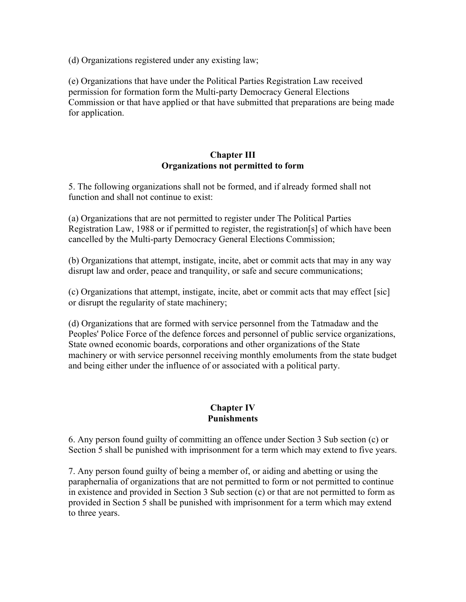(d) Organizations registered under any existing law;

(e) Organizations that have under the Political Parties Registration Law received permission for formation form the Multi-party Democracy General Elections Commission or that have applied or that have submitted that preparations are being made for application.

### **Chapter III Organizations not permitted to form**

5. The following organizations shall not be formed, and if already formed shall not function and shall not continue to exist:

(a) Organizations that are not permitted to register under The Political Parties Registration Law, 1988 or if permitted to register, the registration[s] of which have been cancelled by the Multi-party Democracy General Elections Commission;

(b) Organizations that attempt, instigate, incite, abet or commit acts that may in any way disrupt law and order, peace and tranquility, or safe and secure communications;

(c) Organizations that attempt, instigate, incite, abet or commit acts that may effect [sic] or disrupt the regularity of state machinery;

(d) Organizations that are formed with service personnel from the Tatmadaw and the Peoples' Police Force of the defence forces and personnel of public service organizations, State owned economic boards, corporations and other organizations of the State machinery or with service personnel receiving monthly emoluments from the state budget and being either under the influence of or associated with a political party.

### **Chapter IV Punishments**

6. Any person found guilty of committing an offence under Section 3 Sub section (c) or Section 5 shall be punished with imprisonment for a term which may extend to five years.

7. Any person found guilty of being a member of, or aiding and abetting or using the paraphernalia of organizations that are not permitted to form or not permitted to continue in existence and provided in Section 3 Sub section (c) or that are not permitted to form as provided in Section 5 shall be punished with imprisonment for a term which may extend to three years.